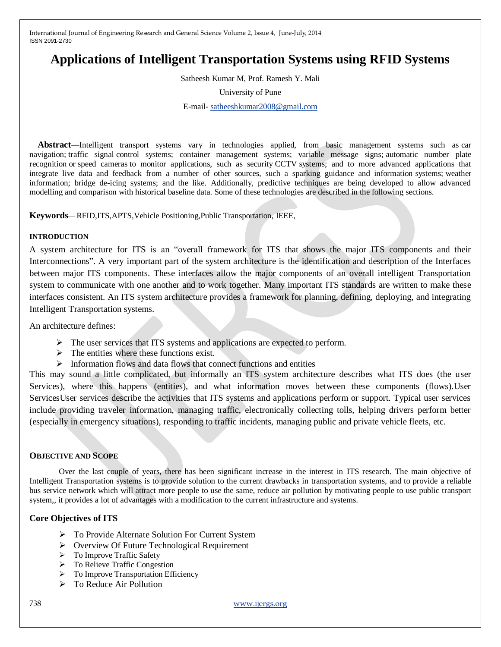# **Applications of Intelligent Transportation Systems using RFID Systems**

Satheesh Kumar M, Prof. Ramesh Y. Mali

University of Pune

E-mail- [satheeshkumar2008@gmail.com](mailto:satheeshkumar2008@gmail.com)

**Abstract**—Intelligent transport systems vary in technologies applied, from basic management systems such as car navigation; traffic signal control systems; container management systems; variable message signs; automatic number plate recognition or speed cameras to monitor applications, such as security CCTV systems; and to more advanced applications that integrate live data and feedback from a number of other sources, such a sparking guidance and information systems; weather information; bridge de-icing systems; and the like. Additionally, predictive techniques are being developed to allow advanced modelling and comparison with historical baseline data. Some of these technologies are described in the following sections.

**Keywords**— RFID,ITS,APTS,Vehicle Positioning,Public Transportation, IEEE,

# **INTRODUCTION**

A system architecture for ITS is an "overall framework for ITS that shows the major ITS components and their Interconnections". A very important part of the system architecture is the identification and description of the Interfaces between major ITS components. These interfaces allow the major components of an overall intelligent Transportation system to communicate with one another and to work together. Many important ITS standards are written to make these interfaces consistent. An ITS system architecture provides a framework for planning, defining, deploying, and integrating Intelligent Transportation systems.

An architecture defines:

- $\triangleright$  The user services that ITS systems and applications are expected to perform.
- $\triangleright$  The entities where these functions exist.
- $\triangleright$  Information flows and data flows that connect functions and entities

This may sound a little complicated, but informally an ITS system architecture describes what ITS does (the user Services), where this happens (entities), and what information moves between these components (flows).User ServicesUser services describe the activities that ITS systems and applications perform or support. Typical user services include providing traveler information, managing traffic, electronically collecting tolls, helping drivers perform better (especially in emergency situations), responding to traffic incidents, managing public and private vehicle fleets, etc.

# **OBJECTIVE AND SCOPE**

Over the last couple of years, there has been significant increase in the interest in ITS research. The main objective of Intelligent Transportation systems is to provide solution to the current drawbacks in transportation systems, and to provide a reliable bus service network which will attract more people to use the same, reduce air pollution by motivating people to use public transport system,, it provides a lot of advantages with a modification to the current infrastructure and systems.

# **Core Objectives of ITS**

- To Provide Alternate Solution For Current System
- $\triangleright$  Overview Of Future Technological Requirement
- > To Improve Traffic Safety
- > To Relieve Traffic Congestion
- > To Improve Transportation Efficiency
- $\triangleright$  To Reduce Air Pollution

738 [www.ijergs.org](http://www.ijergs.org/)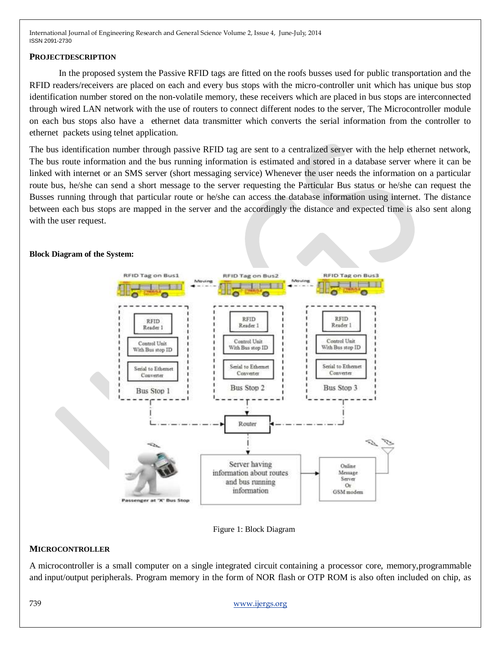# **PROJECTDESCRIPTION**

In the proposed system the Passive RFID tags are fitted on the roofs busses used for public transportation and the RFID readers/receivers are placed on each and every bus stops with the micro-controller unit which has unique bus stop identification number stored on the non-volatile memory, these receivers which are placed in bus stops are interconnected through wired LAN network with the use of routers to connect different nodes to the server, The Microcontroller module on each bus stops also have a ethernet data transmitter which converts the serial information from the controller to ethernet packets using telnet application.

The bus identification number through passive RFID tag are sent to a centralized server with the help ethernet network, The bus route information and the bus running information is estimated and stored in a database server where it can be linked with internet or an SMS server (short messaging service) Whenever the user needs the information on a particular route bus, he/she can send a short message to the server requesting the Particular Bus status or he/she can request the Busses running through that particular route or he/she can access the database information using internet. The distance between each bus stops are mapped in the server and the accordingly the distance and expected time is also sent along with the user request.



#### Figure 1: Block Diagram

# **MICROCONTROLLER**

A microcontroller is a small computer on a single integrated circuit containing a processor core, memory,programmable and input/output peripherals. Program memory in the form of NOR flash or OTP ROM is also often included on chip, as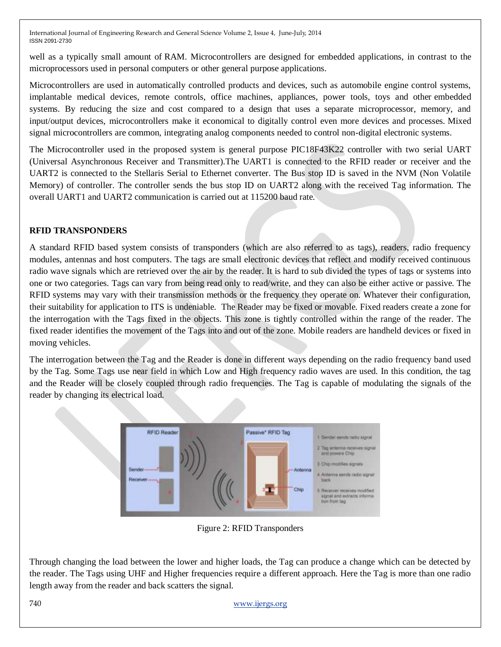well as a typically small amount of RAM. Microcontrollers are designed for embedded applications, in contrast to the microprocessors used in personal computers or other general purpose applications.

Microcontrollers are used in automatically controlled products and devices, such as automobile engine control systems, implantable medical devices, remote controls, office machines, appliances, power tools, toys and other embedded systems. By reducing the size and cost compared to a design that uses a separate microprocessor, memory, and input/output devices, microcontrollers make it economical to digitally control even more devices and processes. Mixed signal microcontrollers are common, integrating analog components needed to control non-digital electronic systems.

The Microcontroller used in the proposed system is general purpose PIC18F43K22 controller with two serial UART (Universal Asynchronous Receiver and Transmitter).The UART1 is connected to the RFID reader or receiver and the UART2 is connected to the Stellaris Serial to Ethernet converter. The Bus stop ID is saved in the NVM (Non Volatile Memory) of controller. The controller sends the bus stop ID on UART2 along with the received Tag information. The overall UART1 and UART2 communication is carried out at 115200 baud rate.

# **RFID TRANSPONDERS**

A standard RFID based system consists of transponders (which are also referred to as tags), readers, radio frequency modules, antennas and host computers. The tags are small electronic devices that reflect and modify received continuous radio wave signals which are retrieved over the air by the reader. It is hard to sub divided the types of tags or systems into one or two categories. Tags can vary from being read only to read/write, and they can also be either active or passive. The RFID systems may vary with their transmission methods or the frequency they operate on. Whatever their configuration, their suitability for application to ITS is undeniable. The Reader may be fixed or movable. Fixed readers create a zone for the interrogation with the Tags fixed in the objects. This zone is tightly controlled within the range of the reader. The fixed reader identifies the movement of the Tags into and out of the zone. Mobile readers are handheld devices or fixed in moving vehicles.

The interrogation between the Tag and the Reader is done in different ways depending on the radio frequency band used by the Tag. Some Tags use near field in which Low and High frequency radio waves are used. In this condition, the tag and the Reader will be closely coupled through radio frequencies. The Tag is capable of modulating the signals of the reader by changing its electrical load.



Figure 2: RFID Transponders

Through changing the load between the lower and higher loads, the Tag can produce a change which can be detected by the reader. The Tags using UHF and Higher frequencies require a different approach. Here the Tag is more than one radio length away from the reader and back scatters the signal.

# 740 [www.ijergs.org](http://www.ijergs.org/)